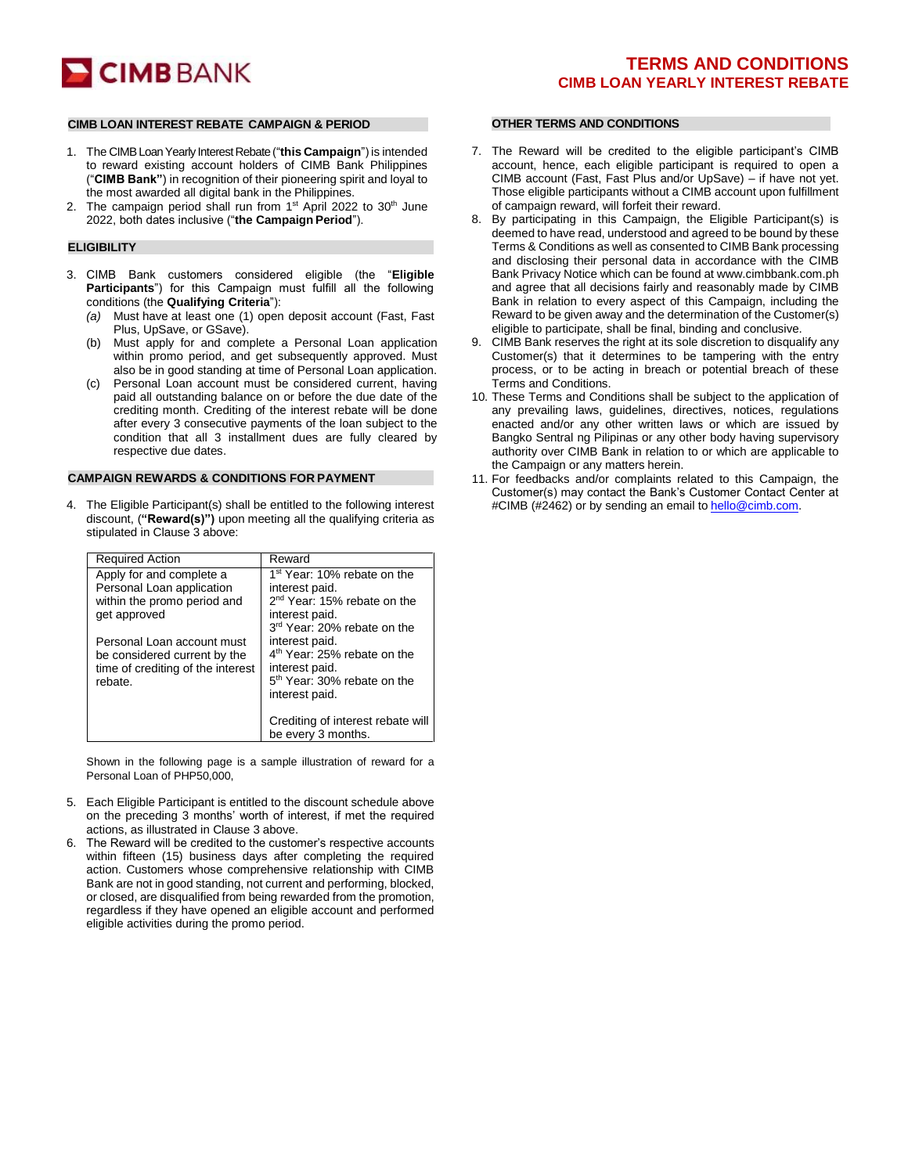**CIMB** BANK

### **CIMB LOAN INTEREST REBATE CAMPAIGN & PERIOD**

- 1. The CIMB Loan Yearly Interest Rebate("**this Campaign**") is intended to reward existing account holders of CIMB Bank Philippines ("**CIMB Bank"**) in recognition of their pioneering spirit and loyal to the most awarded all digital bank in the Philippines.
- 2. The campaign period shall run from  $1<sup>st</sup>$  April 2022 to 30<sup>th</sup> June 2022, both dates inclusive ("**the Campaign Period**").

### **ELIGIBILITY**

- 3. CIMB Bank customers considered eligible (the "**Eligible Participants**") for this Campaign must fulfill all the following conditions (the **Qualifying Criteria**"):
	- *(a)* Must have at least one (1) open deposit account (Fast, Fast Plus, UpSave, or GSave).
	- (b) Must apply for and complete a Personal Loan application within promo period, and get subsequently approved. Must also be in good standing at time of Personal Loan application.
	- (c) Personal Loan account must be considered current, having paid all outstanding balance on or before the due date of the crediting month. Crediting of the interest rebate will be done after every 3 consecutive payments of the loan subject to the condition that all 3 installment dues are fully cleared by respective due dates.

## **CAMPAIGN REWARDS & CONDITIONS FOR PAYMENT**

4. The Eligible Participant(s) shall be entitled to the following interest discount, (**"Reward(s)")** upon meeting all the qualifying criteria as stipulated in Clause 3 above:

| <b>Required Action</b>                                                                                     | Reward                                                                                                                                                |
|------------------------------------------------------------------------------------------------------------|-------------------------------------------------------------------------------------------------------------------------------------------------------|
| Apply for and complete a<br>Personal Loan application<br>within the promo period and<br>get approved       | 1 <sup>st</sup> Year: 10% rebate on the<br>interest paid.<br>2 <sup>nd</sup> Year: 15% rebate on the<br>interest paid.<br>3rd Year: 20% rebate on the |
| Personal Loan account must<br>be considered current by the<br>time of crediting of the interest<br>rebate. | interest paid.<br>4 <sup>th</sup> Year: 25% rebate on the<br>interest paid.<br>5 <sup>th</sup> Year: 30% rebate on the<br>interest paid.              |
|                                                                                                            | Crediting of interest rebate will<br>be every 3 months.                                                                                               |

Shown in the following page is a sample illustration of reward for a Personal Loan of PHP50,000,

- 5. Each Eligible Participant is entitled to the discount schedule above on the preceding 3 months' worth of interest, if met the required actions, as illustrated in Clause 3 above.
- 6. The Reward will be credited to the customer's respective accounts within fifteen (15) business days after completing the required action. Customers whose comprehensive relationship with CIMB Bank are not in good standing, not current and performing, blocked, or closed, are disqualified from being rewarded from the promotion, regardless if they have opened an eligible account and performed eligible activities during the promo period.

## **OTHER TERMS AND CONDITIONS**

- 7. The Reward will be credited to the eligible participant's CIMB account, hence, each eligible participant is required to open a CIMB account (Fast, Fast Plus and/or UpSave) – if have not yet. Those eligible participants without a CIMB account upon fulfillment of campaign reward, will forfeit their reward.
- By participating in this Campaign, the Eligible Participant(s) is deemed to have read, understood and agreed to be bound by these Terms & Conditions as well as consented to CIMB Bank processing and disclosing their personal data in accordance with the CIMB Bank Privacy Notice which can be found at www.cimbbank.com.ph and agree that all decisions fairly and reasonably made by CIMB Bank in relation to every aspect of this Campaign, including the Reward to be given away and the determination of the Customer(s) eligible to participate, shall be final, binding and conclusive.
- 9. CIMB Bank reserves the right at its sole discretion to disqualify any Customer(s) that it determines to be tampering with the entry process, or to be acting in breach or potential breach of these Terms and Conditions.
- 10. These Terms and Conditions shall be subject to the application of any prevailing laws, guidelines, directives, notices, regulations enacted and/or any other written laws or which are issued by Bangko Sentral ng Pilipinas or any other body having supervisory authority over CIMB Bank in relation to or which are applicable to the Campaign or any matters herein.
- 11. For feedbacks and/or complaints related to this Campaign, the Customer(s) may contact the Bank's Customer Contact Center at #CIMB (#2462) or by sending an email to [hello@cimb.com.](mailto:hello@cimb.com)